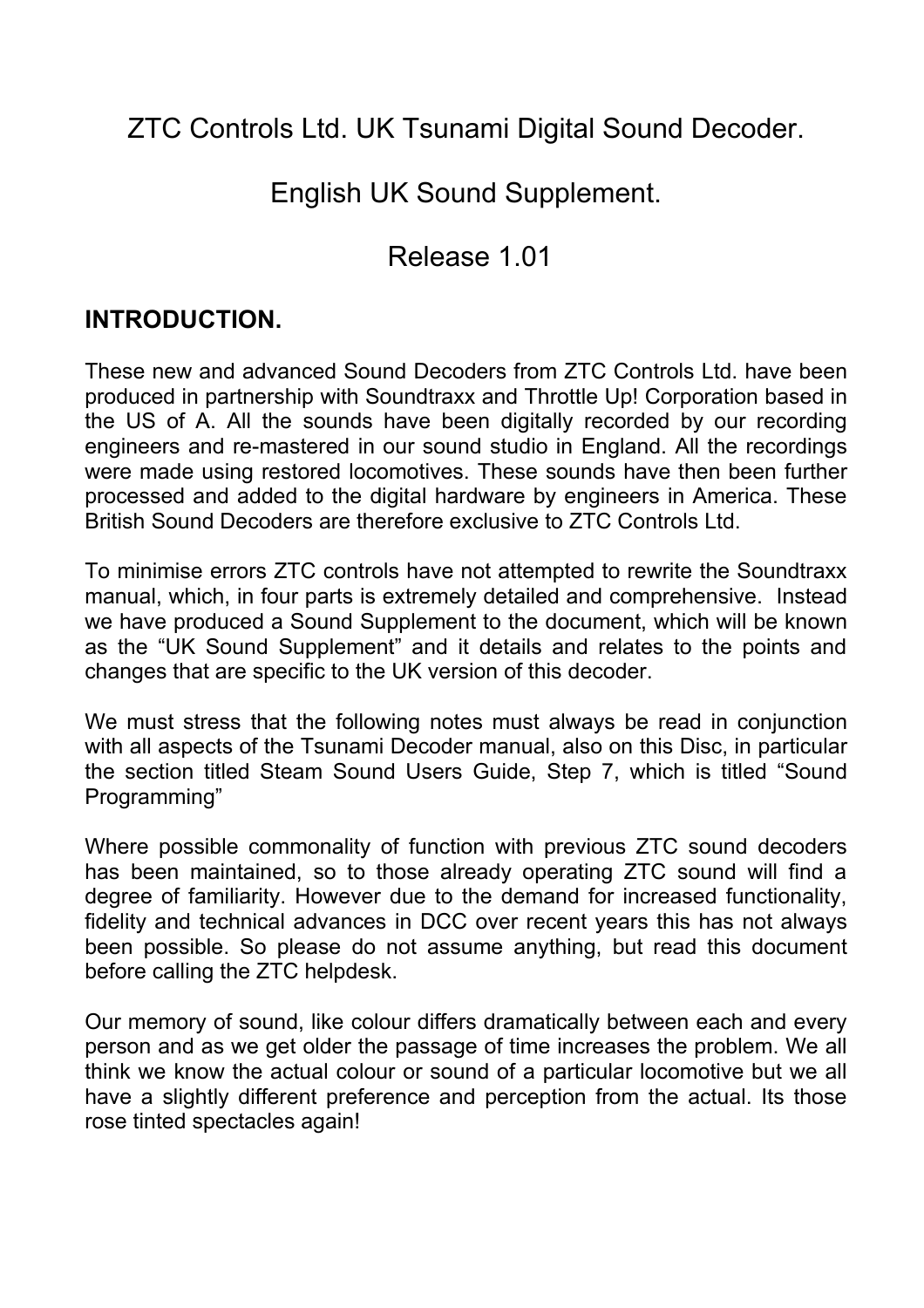ZTC Controls Ltd. UK Tsunami Digital Sound Decoder.

English UK Sound Supplement.

## Release 1.01

### **INTRODUCTION.**

These new and advanced Sound Decoders from ZTC Controls Ltd. have been produced in partnership with Soundtraxx and Throttle Up! Corporation based in the US of A. All the sounds have been digitally recorded by our recording engineers and re-mastered in our sound studio in England. All the recordings were made using restored locomotives. These sounds have then been further processed and added to the digital hardware by engineers in America. These British Sound Decoders are therefore exclusive to ZTC Controls Ltd.

To minimise errors ZTC controls have not attempted to rewrite the Soundtraxx manual, which, in four parts is extremely detailed and comprehensive. Instead we have produced a Sound Supplement to the document, which will be known as the "UK Sound Supplement" and it details and relates to the points and changes that are specific to the UK version of this decoder.

We must stress that the following notes must always be read in conjunction with all aspects of the Tsunami Decoder manual, also on this Disc, in particular the section titled Steam Sound Users Guide, Step 7, which is titled "Sound Programming"

Where possible commonality of function with previous ZTC sound decoders has been maintained, so to those already operating ZTC sound will find a degree of familiarity. However due to the demand for increased functionality, fidelity and technical advances in DCC over recent years this has not always been possible. So please do not assume anything, but read this document before calling the ZTC helpdesk.

Our memory of sound, like colour differs dramatically between each and every person and as we get older the passage of time increases the problem. We all think we know the actual colour or sound of a particular locomotive but we all have a slightly different preference and perception from the actual. Its those rose tinted spectacles again!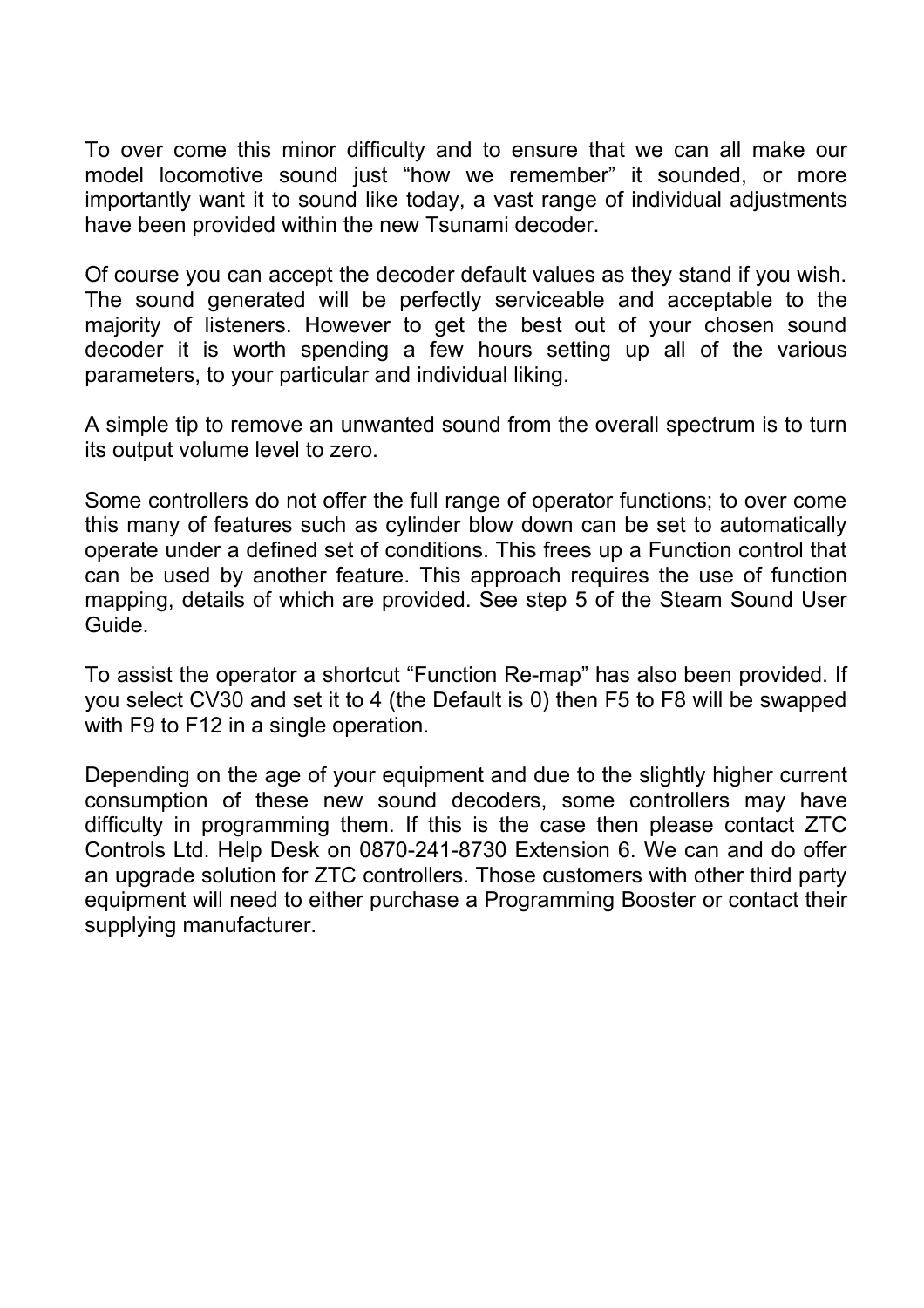To over come this minor difficulty and to ensure that we can all make our model locomotive sound just "how we remember" it sounded, or more importantly want it to sound like today, a vast range of individual adjustments have been provided within the new Tsunami decoder.

Of course you can accept the decoder default values as they stand if you wish. The sound generated will be perfectly serviceable and acceptable to the majority of listeners. However to get the best out of your chosen sound decoder it is worth spending a few hours setting up all of the various parameters, to your particular and individual liking.

A simple tip to remove an unwanted sound from the overall spectrum is to turn its output volume level to zero.

Some controllers do not offer the full range of operator functions; to over come this many of features such as cylinder blow down can be set to automatically operate under a defined set of conditions. This frees up a Function control that can be used by another feature. This approach requires the use of function mapping, details of which are provided. See step 5 of the Steam Sound User Guide.

To assist the operator a shortcut "Function Re-map" has also been provided. If you select CV30 and set it to 4 (the Default is 0) then F5 to F8 will be swapped with F9 to F12 in a single operation.

Depending on the age of your equipment and due to the slightly higher current consumption of these new sound decoders, some controllers may have difficulty in programming them. If this is the case then please contact ZTC Controls Ltd. Help Desk on 0870-241-8730 Extension 6. We can and do offer an upgrade solution for ZTC controllers. Those customers with other third party equipment will need to either purchase a Programming Booster or contact their supplying manufacturer.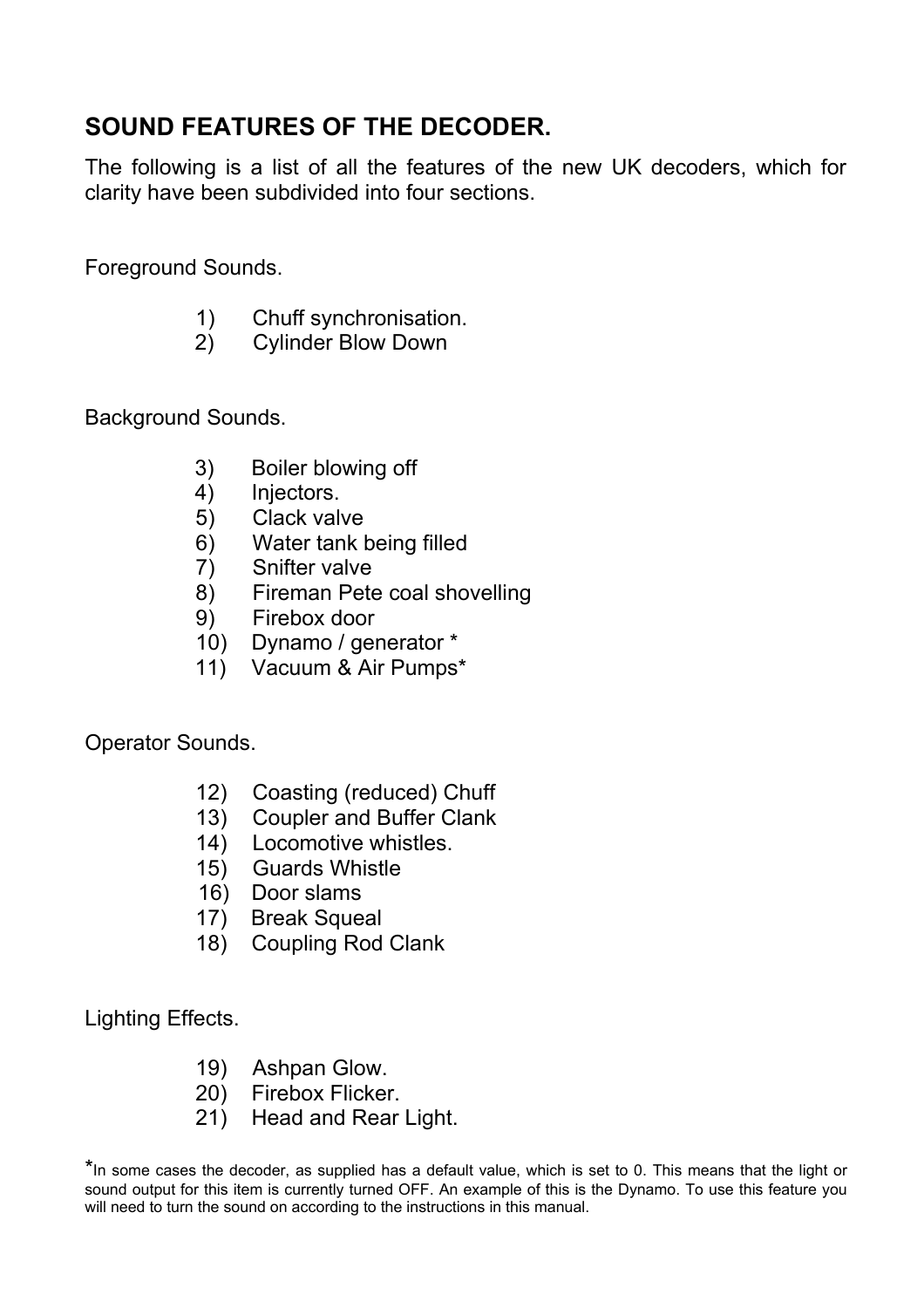## **SOUND FEATURES OF THE DECODER.**

The following is a list of all the features of the new UK decoders, which for clarity have been subdivided into four sections.

Foreground Sounds.

- 1) Chuff synchronisation.
- 2) Cylinder Blow Down

Background Sounds.

- 3) Boiler blowing off
- 4) Injectors.
- 5) Clack valve
- 6) Water tank being filled
- 7) Snifter valve
- 8) Fireman Pete coal shovelling
- 9) Firebox door
- 10) Dynamo / generator \*
- 11) Vacuum & Air Pumps\*

Operator Sounds.

- 12) Coasting (reduced) Chuff
- 13) Coupler and Buffer Clank
- 14) Locomotive whistles.
- 15) Guards Whistle
- 16) Door slams
- 17) Break Squeal
- 18) Coupling Rod Clank

Lighting Effects.

- 19) Ashpan Glow.
- 20) Firebox Flicker.
- 21) Head and Rear Light.

\*In some cases the decoder, as supplied has a default value, which is set to 0. This means that the light or sound output for this item is currently turned OFF. An example of this is the Dynamo. To use this feature you will need to turn the sound on according to the instructions in this manual.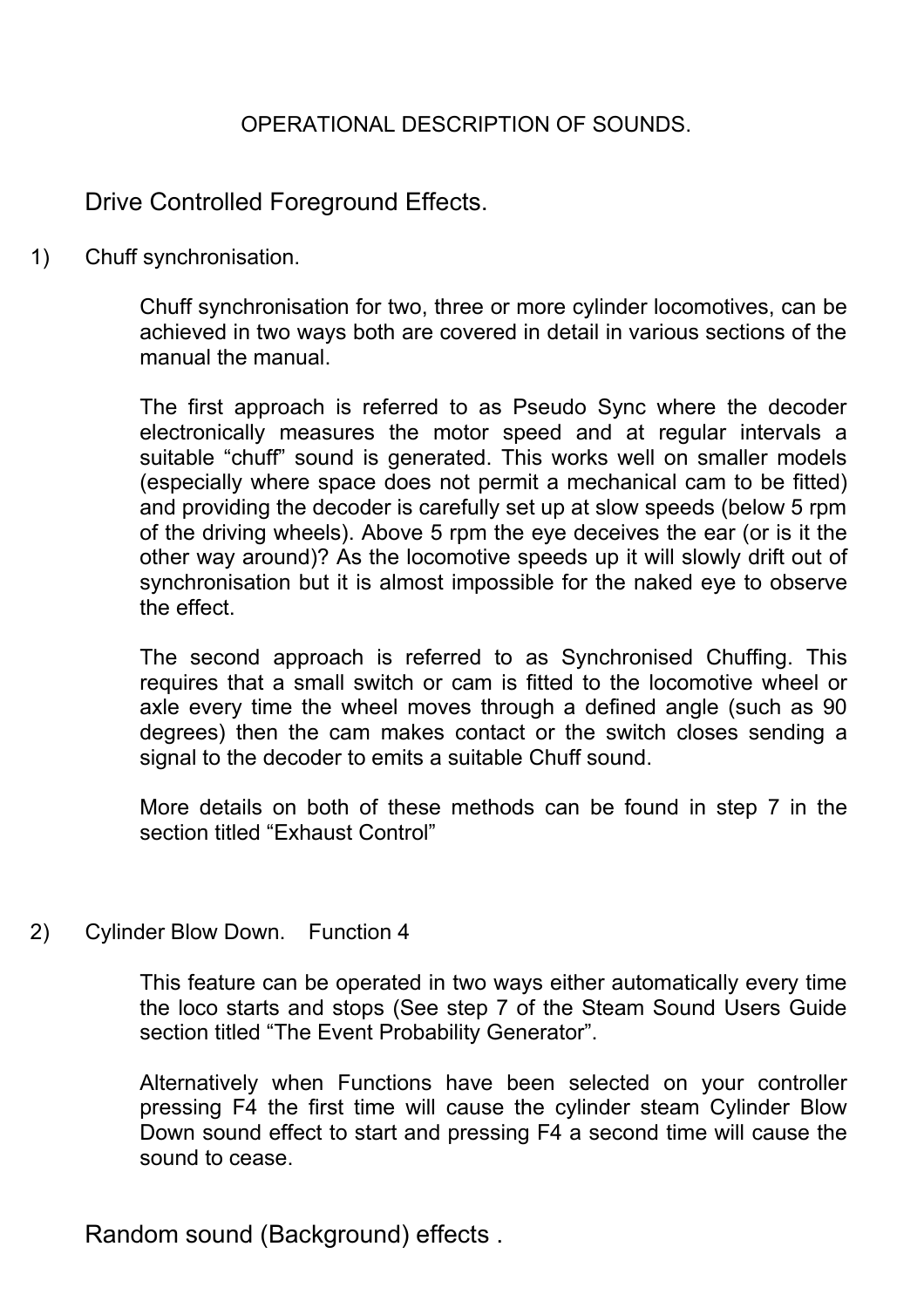### OPERATIONAL DESCRIPTION OF SOUNDS.

Drive Controlled Foreground Effects.

1) Chuff synchronisation.

Chuff synchronisation for two, three or more cylinder locomotives, can be achieved in two ways both are covered in detail in various sections of the manual the manual.

The first approach is referred to as Pseudo Sync where the decoder electronically measures the motor speed and at regular intervals a suitable "chuff" sound is generated. This works well on smaller models (especially where space does not permit a mechanical cam to be fitted) and providing the decoder is carefully set up at slow speeds (below 5 rpm of the driving wheels). Above 5 rpm the eye deceives the ear (or is it the other way around)? As the locomotive speeds up it will slowly drift out of synchronisation but it is almost impossible for the naked eye to observe the effect.

The second approach is referred to as Synchronised Chuffing. This requires that a small switch or cam is fitted to the locomotive wheel or axle every time the wheel moves through a defined angle (such as 90 degrees) then the cam makes contact or the switch closes sending a signal to the decoder to emits a suitable Chuff sound.

More details on both of these methods can be found in step 7 in the section titled "Exhaust Control"

2) Cylinder Blow Down. Function 4

This feature can be operated in two ways either automatically every time the loco starts and stops (See step 7 of the Steam Sound Users Guide section titled "The Event Probability Generator".

Alternatively when Functions have been selected on your controller pressing F4 the first time will cause the cylinder steam Cylinder Blow Down sound effect to start and pressing F4 a second time will cause the sound to cease.

Random sound (Background) effects .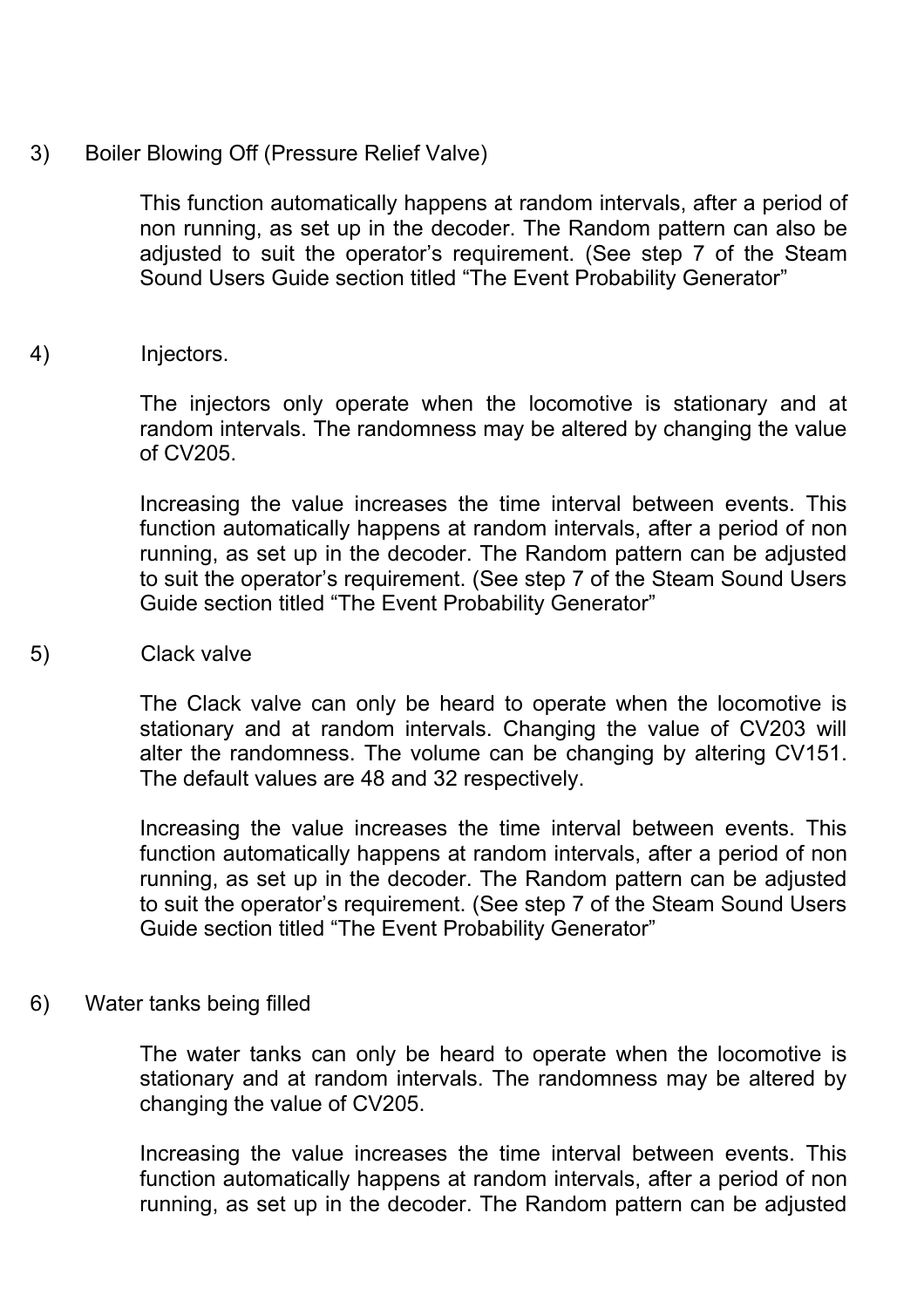3) Boiler Blowing Off (Pressure Relief Valve)

This function automatically happens at random intervals, after a period of non running, as set up in the decoder. The Random pattern can also be adjusted to suit the operator's requirement. (See step 7 of the Steam Sound Users Guide section titled "The Event Probability Generator"

4) Injectors.

The injectors only operate when the locomotive is stationary and at random intervals. The randomness may be altered by changing the value of CV205.

Increasing the value increases the time interval between events. This function automatically happens at random intervals, after a period of non running, as set up in the decoder. The Random pattern can be adjusted to suit the operator's requirement. (See step 7 of the Steam Sound Users Guide section titled "The Event Probability Generator"

5) Clack valve

The Clack valve can only be heard to operate when the locomotive is stationary and at random intervals. Changing the value of CV203 will alter the randomness. The volume can be changing by altering CV151. The default values are 48 and 32 respectively.

Increasing the value increases the time interval between events. This function automatically happens at random intervals, after a period of non running, as set up in the decoder. The Random pattern can be adjusted to suit the operator's requirement. (See step 7 of the Steam Sound Users Guide section titled "The Event Probability Generator"

6) Water tanks being filled

The water tanks can only be heard to operate when the locomotive is stationary and at random intervals. The randomness may be altered by changing the value of CV205.

Increasing the value increases the time interval between events. This function automatically happens at random intervals, after a period of non running, as set up in the decoder. The Random pattern can be adjusted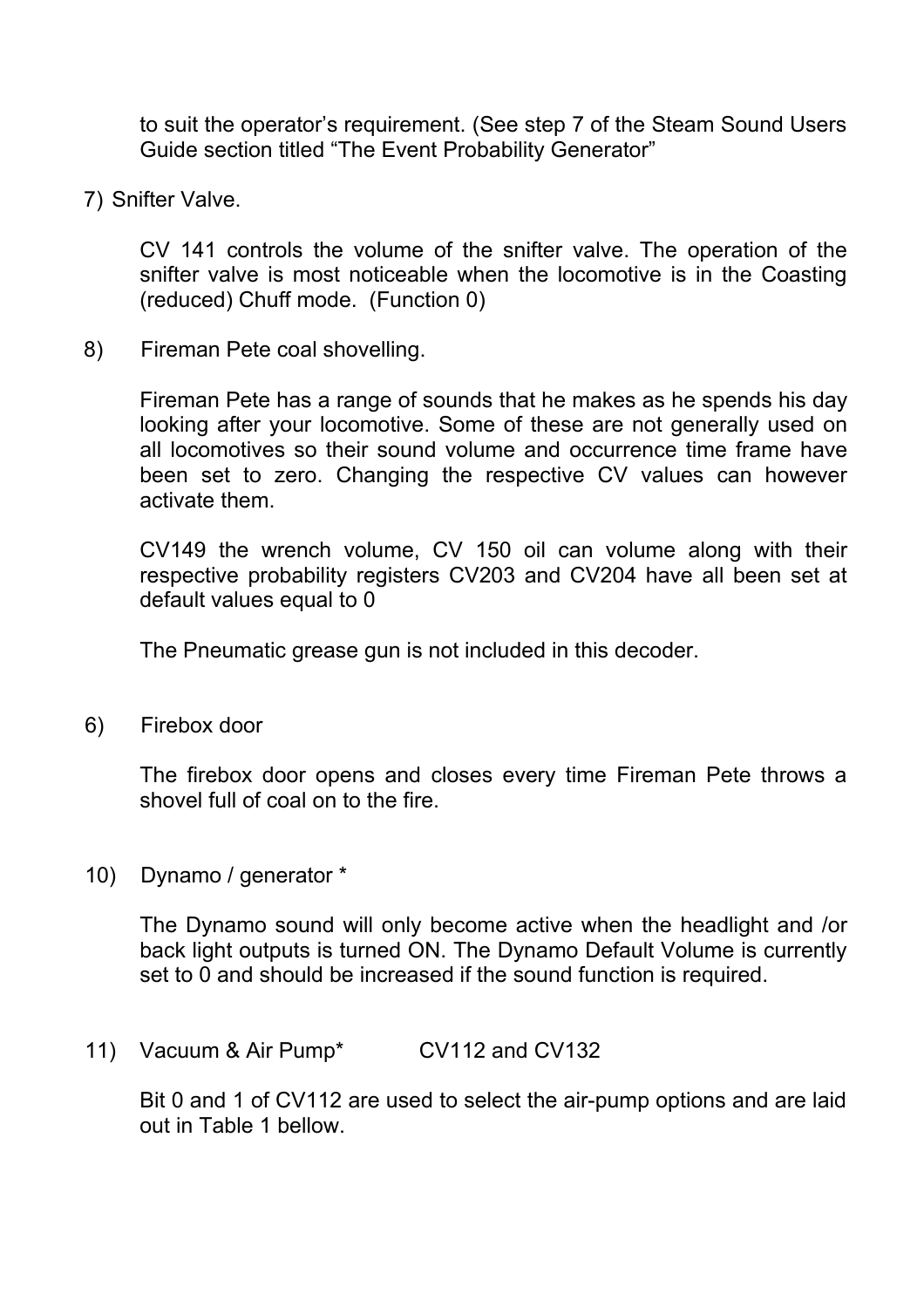to suit the operator's requirement. (See step 7 of the Steam Sound Users Guide section titled "The Event Probability Generator"

7) Snifter Valve.

CV 141 controls the volume of the snifter valve. The operation of the snifter valve is most noticeable when the locomotive is in the Coasting (reduced) Chuff mode. (Function 0)

8) Fireman Pete coal shovelling.

Fireman Pete has a range of sounds that he makes as he spends his day looking after your locomotive. Some of these are not generally used on all locomotives so their sound volume and occurrence time frame have been set to zero. Changing the respective CV values can however activate them.

CV149 the wrench volume, CV 150 oil can volume along with their respective probability registers CV203 and CV204 have all been set at default values equal to 0

The Pneumatic grease gun is not included in this decoder.

6) Firebox door

The firebox door opens and closes every time Fireman Pete throws a shovel full of coal on to the fire.

10) Dynamo / generator \*

The Dynamo sound will only become active when the headlight and /or back light outputs is turned ON. The Dynamo Default Volume is currently set to 0 and should be increased if the sound function is required.

11) Vacuum & Air Pump<sup>\*</sup> CV112 and CV132

Bit 0 and 1 of CV112 are used to select the air-pump options and are laid out in Table 1 bellow.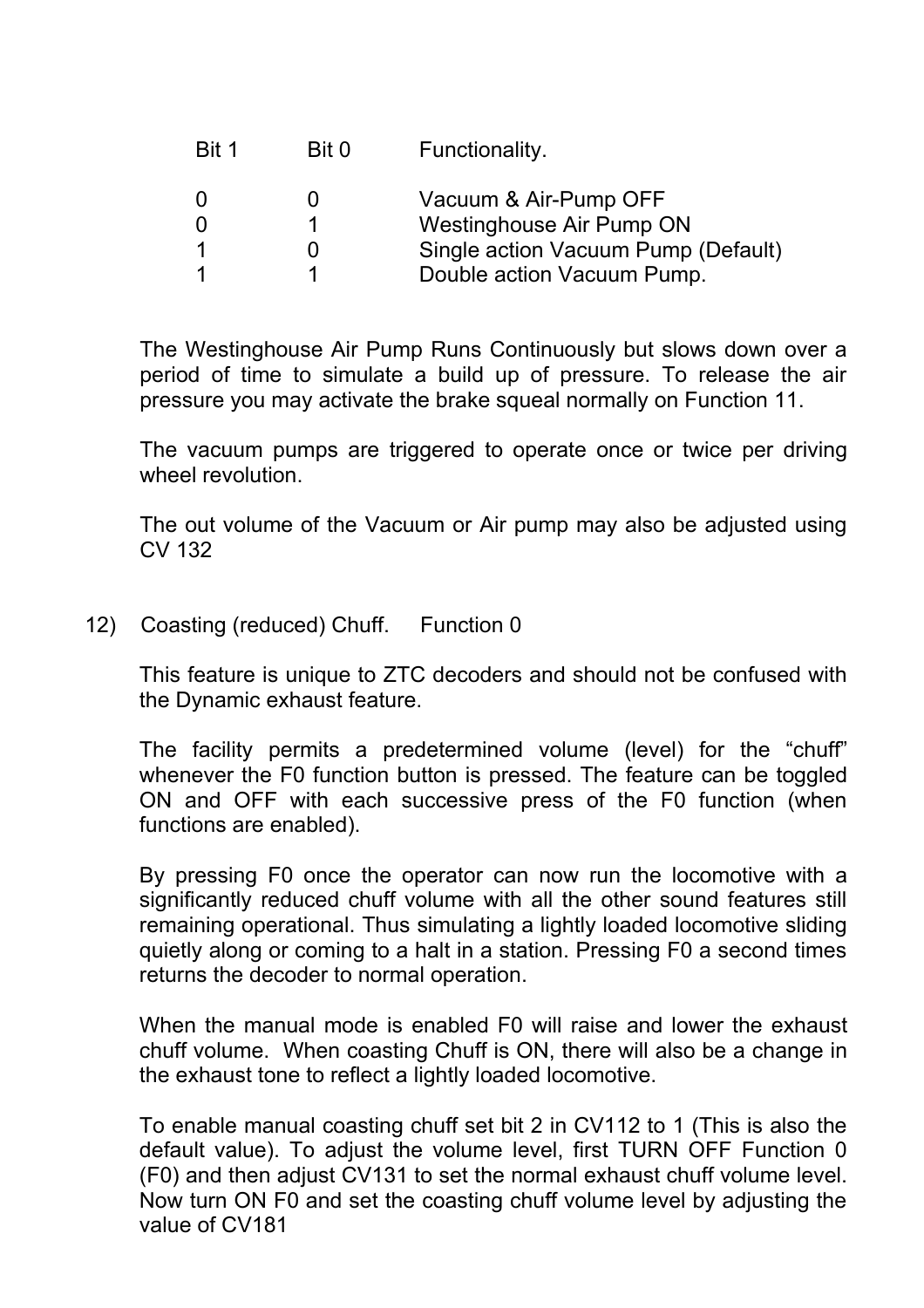| Bit 1    | Bit 0 | Functionality.                      |
|----------|-------|-------------------------------------|
| $\Omega$ |       | Vacuum & Air-Pump OFF               |
|          |       | Westinghouse Air Pump ON            |
|          |       | Single action Vacuum Pump (Default) |
|          |       | Double action Vacuum Pump.          |
|          |       |                                     |

The Westinghouse Air Pump Runs Continuously but slows down over a period of time to simulate a build up of pressure. To release the air pressure you may activate the brake squeal normally on Function 11.

The vacuum pumps are triggered to operate once or twice per driving wheel revolution.

The out volume of the Vacuum or Air pump may also be adjusted using CV 132

12) Coasting (reduced) Chuff. Function 0

This feature is unique to ZTC decoders and should not be confused with the Dynamic exhaust feature.

The facility permits a predetermined volume (level) for the "chuff" whenever the F0 function button is pressed. The feature can be toggled ON and OFF with each successive press of the F0 function (when functions are enabled).

By pressing F0 once the operator can now run the locomotive with a significantly reduced chuff volume with all the other sound features still remaining operational. Thus simulating a lightly loaded locomotive sliding quietly along or coming to a halt in a station. Pressing F0 a second times returns the decoder to normal operation.

When the manual mode is enabled F0 will raise and lower the exhaust chuff volume. When coasting Chuff is ON, there will also be a change in the exhaust tone to reflect a lightly loaded locomotive.

To enable manual coasting chuff set bit 2 in CV112 to 1 (This is also the default value). To adjust the volume level, first TURN OFF Function 0 (F0) and then adjust CV131 to set the normal exhaust chuff volume level. Now turn ON F0 and set the coasting chuff volume level by adjusting the value of CV181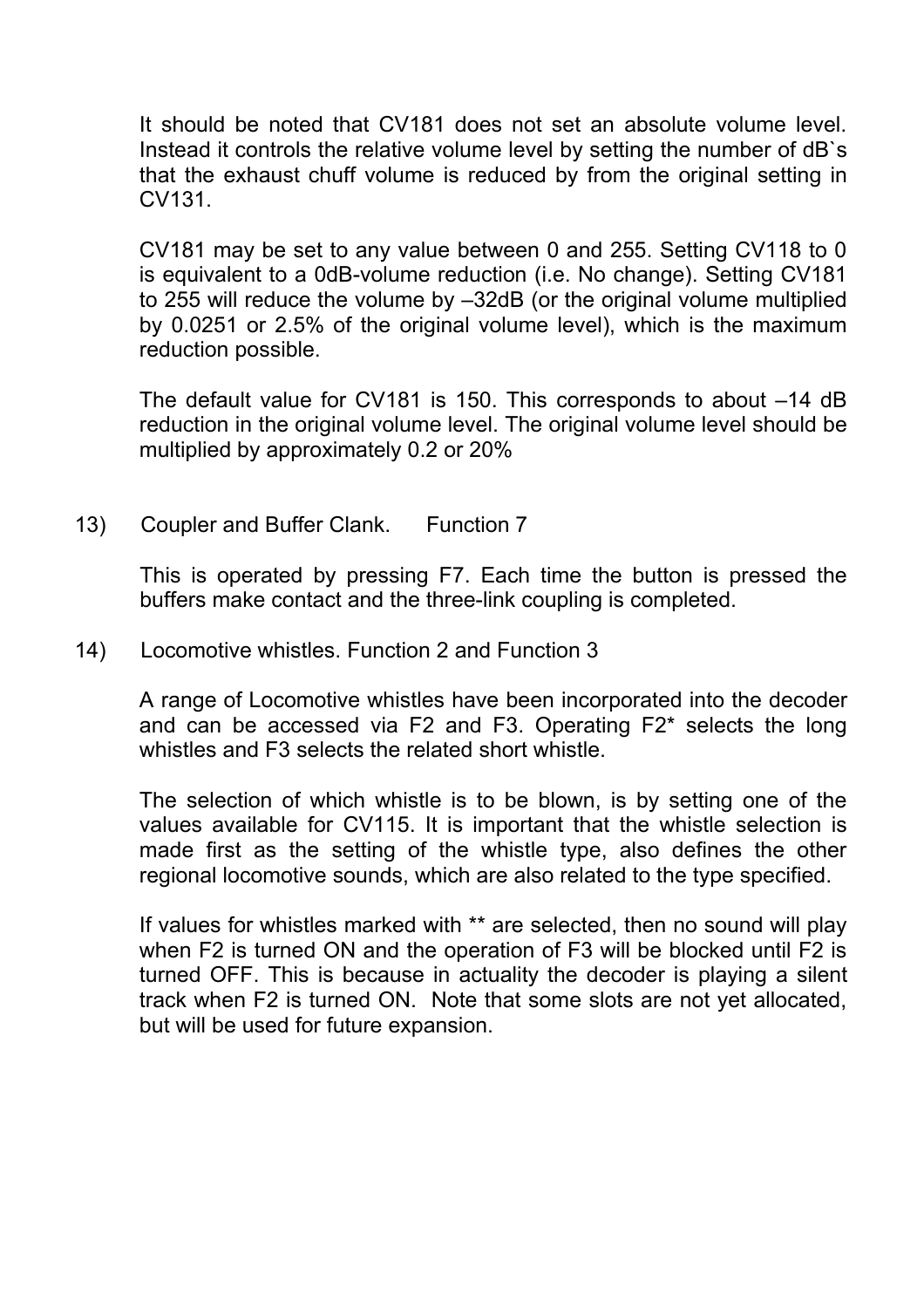It should be noted that CV181 does not set an absolute volume level. Instead it controls the relative volume level by setting the number of dB`s that the exhaust chuff volume is reduced by from the original setting in CV131.

CV181 may be set to any value between 0 and 255. Setting CV118 to 0 is equivalent to a 0dB-volume reduction (i.e. No change). Setting CV181 to 255 will reduce the volume by –32dB (or the original volume multiplied by 0.0251 or 2.5% of the original volume level), which is the maximum reduction possible.

The default value for CV181 is 150. This corresponds to about –14 dB reduction in the original volume level. The original volume level should be multiplied by approximately 0.2 or 20%

13) Coupler and Buffer Clank. Function 7

This is operated by pressing F7. Each time the button is pressed the buffers make contact and the three-link coupling is completed.

14) Locomotive whistles. Function 2 and Function 3

A range of Locomotive whistles have been incorporated into the decoder and can be accessed via F2 and F3. Operating F2\* selects the long whistles and F3 selects the related short whistle.

The selection of which whistle is to be blown, is by setting one of the values available for CV115. It is important that the whistle selection is made first as the setting of the whistle type, also defines the other regional locomotive sounds, which are also related to the type specified.

If values for whistles marked with \*\* are selected, then no sound will play when F2 is turned ON and the operation of F3 will be blocked until F2 is turned OFF. This is because in actuality the decoder is playing a silent track when F2 is turned ON. Note that some slots are not yet allocated, but will be used for future expansion.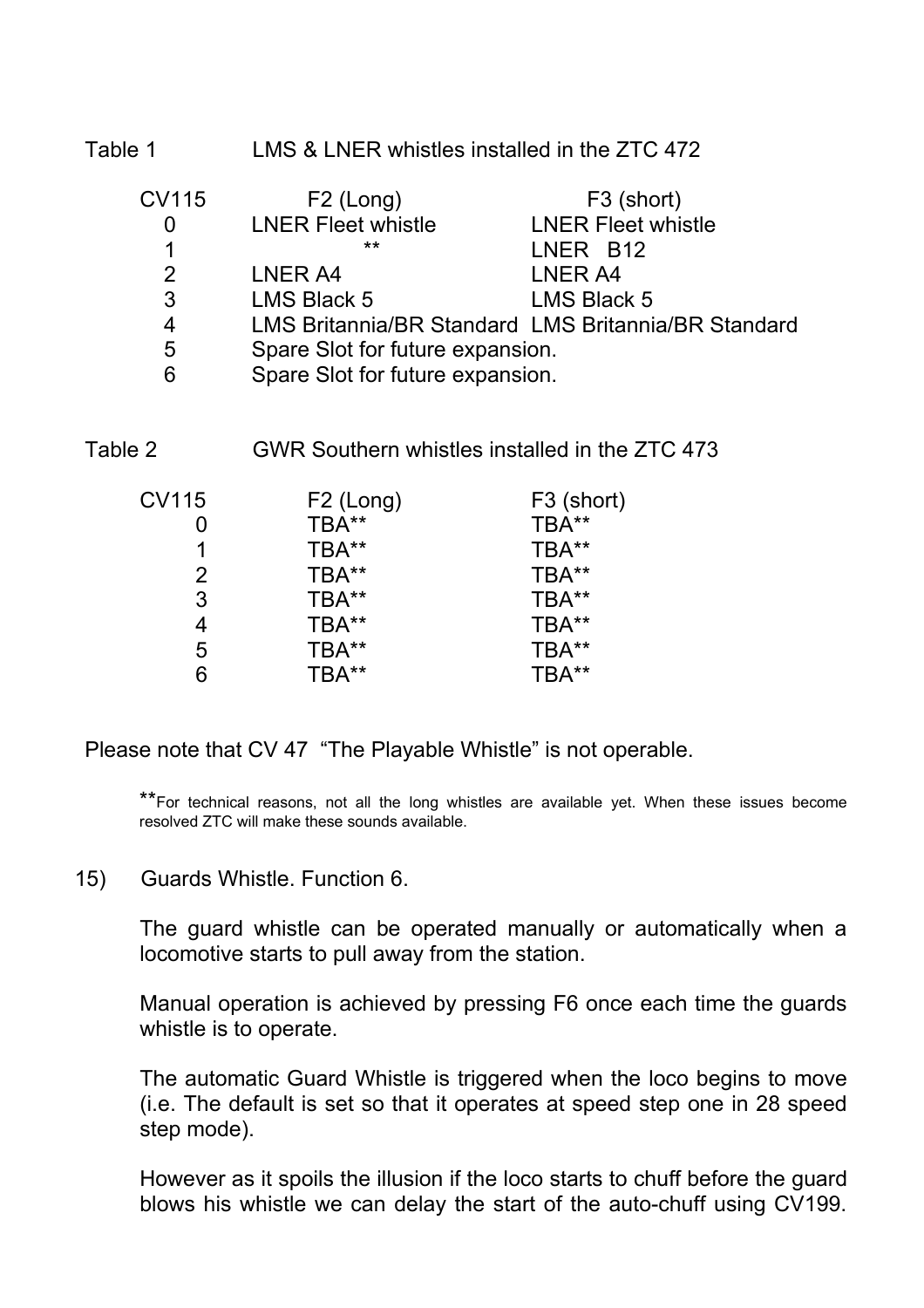Table 1 **LMS & LNER whistles installed in the ZTC 472** 

| <b>CV115</b>   | $F2$ (Long)                      | F <sub>3</sub> (short)                              |
|----------------|----------------------------------|-----------------------------------------------------|
| 0              | <b>LNER Fleet whistle</b>        | <b>LNER Fleet whistle</b>                           |
|                | **                               | LNER B12                                            |
| 2              | LNER A4                          | LNER A4                                             |
| 3              | <b>LMS Black 5</b>               | <b>LMS Black 5</b>                                  |
| $\overline{4}$ |                                  | LMS Britannia/BR Standard LMS Britannia/BR Standard |
| 5              | Spare Slot for future expansion. |                                                     |
| 6              | Spare Slot for future expansion. |                                                     |
|                |                                  |                                                     |

Table 2 GWR Southern whistles installed in the ZTC 473

| CV115          | F <sub>2</sub> (Long) | F <sub>3</sub> (short) |
|----------------|-----------------------|------------------------|
|                | TBA**                 | TBA**                  |
|                | TBA**                 | TBA**                  |
| $\overline{2}$ | TBA**                 | TBA**                  |
| 3              | TBA**                 | TBA**                  |
| 4              | TBA**                 | TBA**                  |
| 5              | TBA**                 | TBA**                  |
|                | TBA**                 | TBA**                  |

Please note that CV 47 "The Playable Whistle" is not operable.

\*\*For technical reasons, not all the long whistles are available yet. When these issues become resolved ZTC will make these sounds available.

15) Guards Whistle. Function 6.

The guard whistle can be operated manually or automatically when a locomotive starts to pull away from the station.

Manual operation is achieved by pressing F6 once each time the guards whistle is to operate.

The automatic Guard Whistle is triggered when the loco begins to move (i.e. The default is set so that it operates at speed step one in 28 speed step mode).

However as it spoils the illusion if the loco starts to chuff before the guard blows his whistle we can delay the start of the auto-chuff using CV199.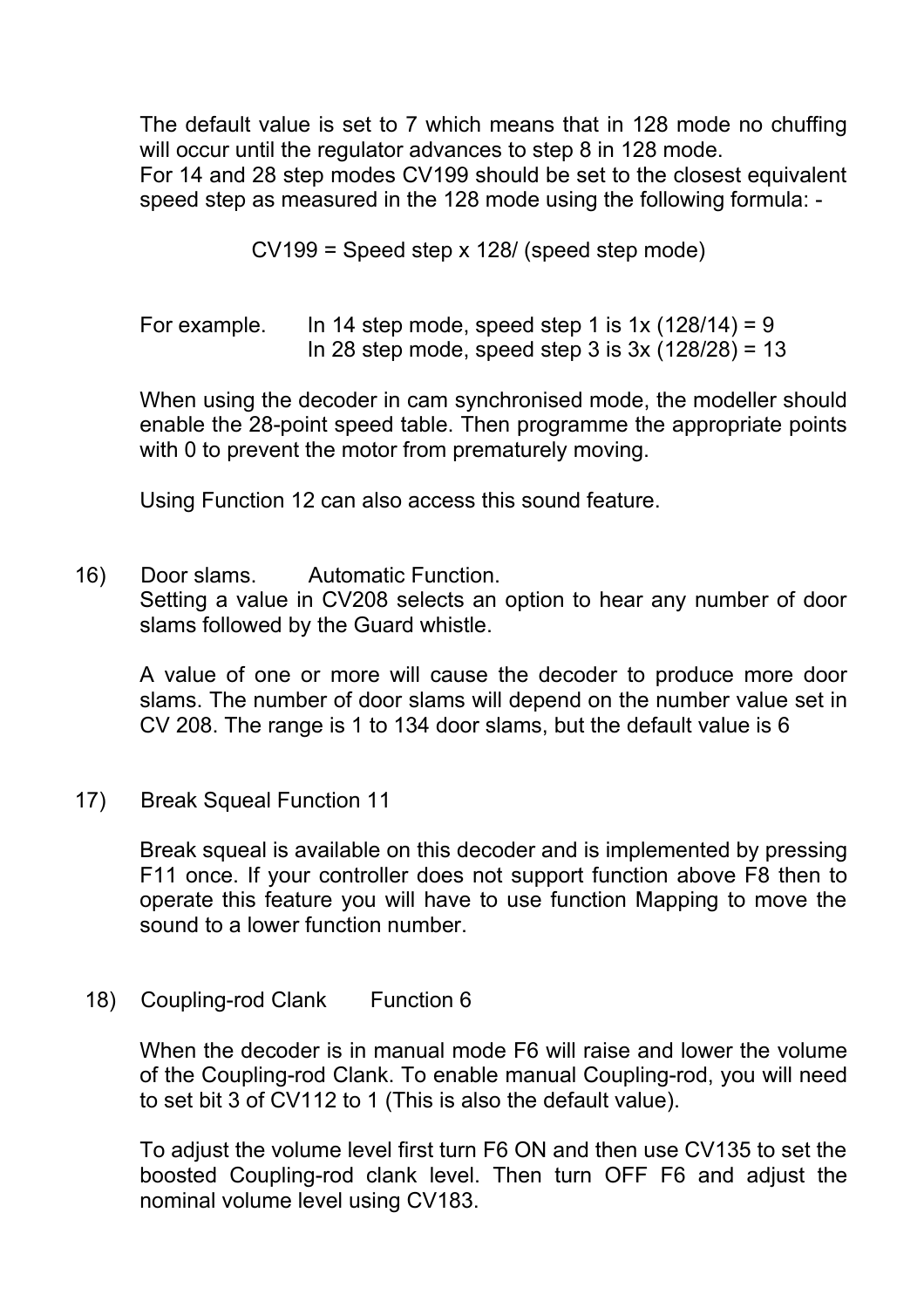The default value is set to 7 which means that in 128 mode no chuffing will occur until the regulator advances to step 8 in 128 mode. For 14 and 28 step modes CV199 should be set to the closest equivalent speed step as measured in the 128 mode using the following formula: -

CV199 = Speed step x 128/ (speed step mode)

For example. In 14 step mode, speed step 1 is  $1x(128/14) = 9$ In 28 step mode, speed step 3 is  $3x(128/28) = 13$ 

When using the decoder in cam synchronised mode, the modeller should enable the 28-point speed table. Then programme the appropriate points with 0 to prevent the motor from prematurely moving.

Using Function 12 can also access this sound feature.

16) Door slams. Automatic Function.

Setting a value in CV208 selects an option to hear any number of door slams followed by the Guard whistle.

A value of one or more will cause the decoder to produce more door slams. The number of door slams will depend on the number value set in CV 208. The range is 1 to 134 door slams, but the default value is 6

17) Break Squeal Function 11

Break squeal is available on this decoder and is implemented by pressing F11 once. If your controller does not support function above F8 then to operate this feature you will have to use function Mapping to move the sound to a lower function number.

#### 18) Coupling-rod Clank Function 6

When the decoder is in manual mode F6 will raise and lower the volume of the Coupling-rod Clank. To enable manual Coupling-rod, you will need to set bit 3 of CV112 to 1 (This is also the default value).

To adjust the volume level first turn F6 ON and then use CV135 to set the boosted Coupling-rod clank level. Then turn OFF F6 and adjust the nominal volume level using CV183.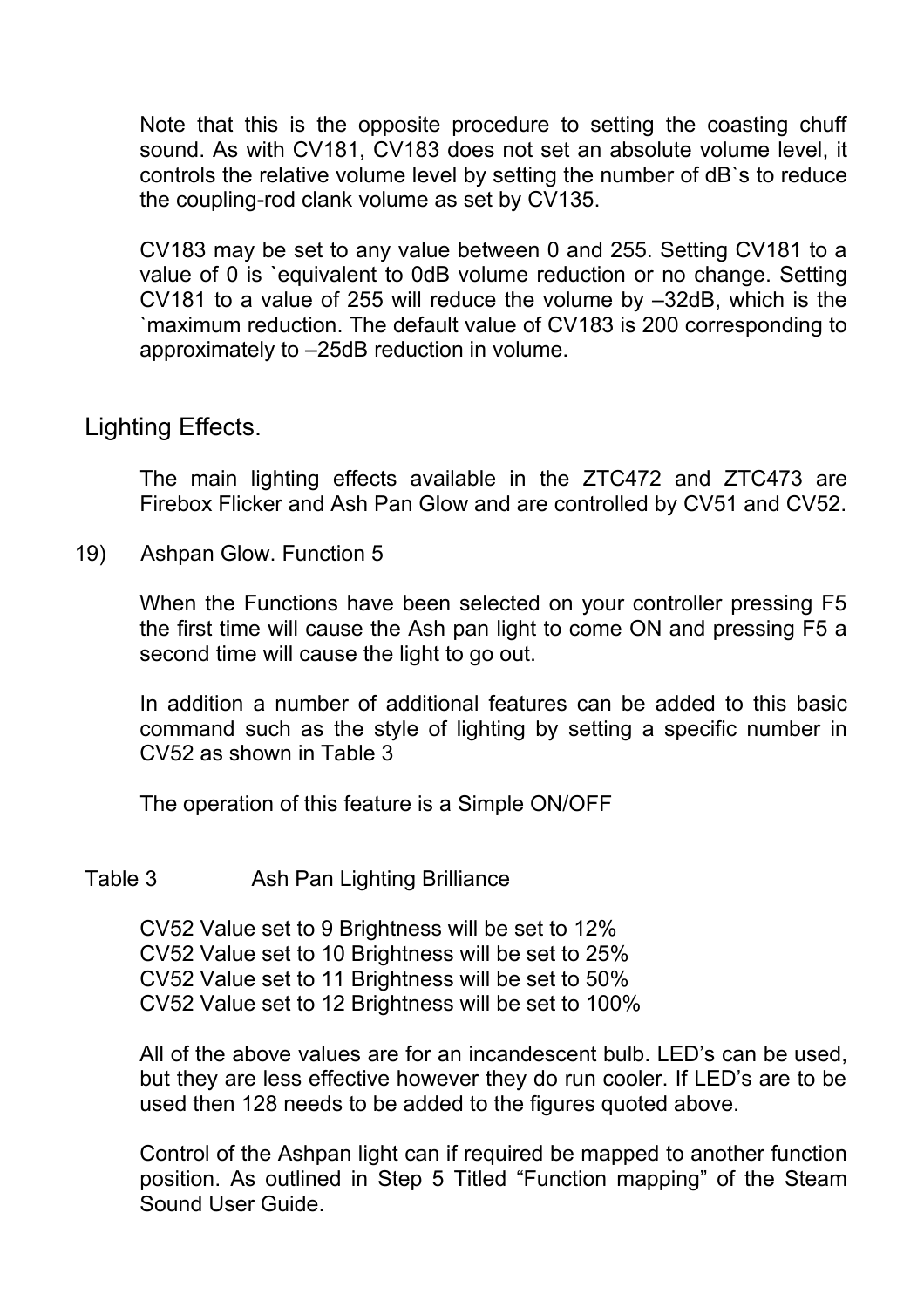Note that this is the opposite procedure to setting the coasting chuff sound. As with CV181, CV183 does not set an absolute volume level, it controls the relative volume level by setting the number of dB`s to reduce the coupling-rod clank volume as set by CV135.

CV183 may be set to any value between 0 and 255. Setting CV181 to a value of 0 is `equivalent to 0dB volume reduction or no change. Setting CV181 to a value of 255 will reduce the volume by –32dB, which is the `maximum reduction. The default value of CV183 is 200 corresponding to approximately to –25dB reduction in volume.

### Lighting Effects.

The main lighting effects available in the ZTC472 and ZTC473 are Firebox Flicker and Ash Pan Glow and are controlled by CV51 and CV52.

19) Ashpan Glow. Function 5

When the Functions have been selected on your controller pressing F5 the first time will cause the Ash pan light to come ON and pressing F5 a second time will cause the light to go out.

In addition a number of additional features can be added to this basic command such as the style of lighting by setting a specific number in CV52 as shown in Table 3

The operation of this feature is a Simple ON/OFF

#### Table 3 Ash Pan Lighting Brilliance

CV52 Value set to 9 Brightness will be set to 12% CV52 Value set to 10 Brightness will be set to 25% CV52 Value set to 11 Brightness will be set to 50% CV52 Value set to 12 Brightness will be set to 100%

All of the above values are for an incandescent bulb. LED's can be used, but they are less effective however they do run cooler. If LED's are to be used then 128 needs to be added to the figures quoted above.

Control of the Ashpan light can if required be mapped to another function position. As outlined in Step 5 Titled "Function mapping" of the Steam Sound User Guide.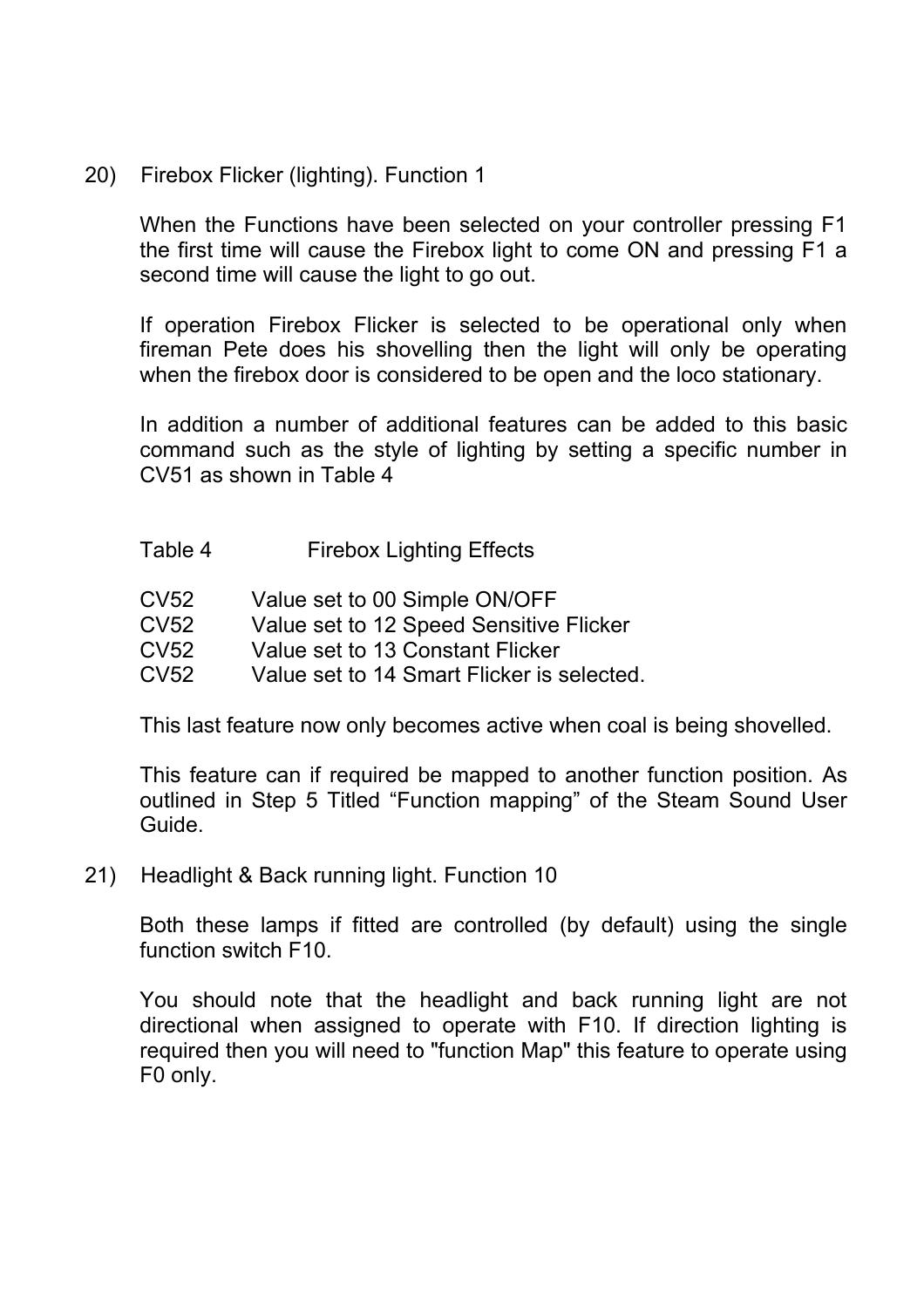20) Firebox Flicker (lighting). Function 1

When the Functions have been selected on your controller pressing F1 the first time will cause the Firebox light to come ON and pressing F1 a second time will cause the light to go out.

If operation Firebox Flicker is selected to be operational only when fireman Pete does his shovelling then the light will only be operating when the firebox door is considered to be open and the loco stationary.

In addition a number of additional features can be added to this basic command such as the style of lighting by setting a specific number in CV51 as shown in Table 4

- Table 4 Firebox Lighting Effects
- CV52 Value set to 00 Simple ON/OFF
- CV52 Value set to 12 Speed Sensitive Flicker
- CV52 Value set to 13 Constant Flicker
- CV52 Value set to 14 Smart Flicker is selected.

This last feature now only becomes active when coal is being shovelled.

This feature can if required be mapped to another function position. As outlined in Step 5 Titled "Function mapping" of the Steam Sound User Guide.

21) Headlight & Back running light. Function 10

Both these lamps if fitted are controlled (by default) using the single function switch F10.

You should note that the headlight and back running light are not directional when assigned to operate with F10. If direction lighting is required then you will need to "function Map" this feature to operate using F0 only.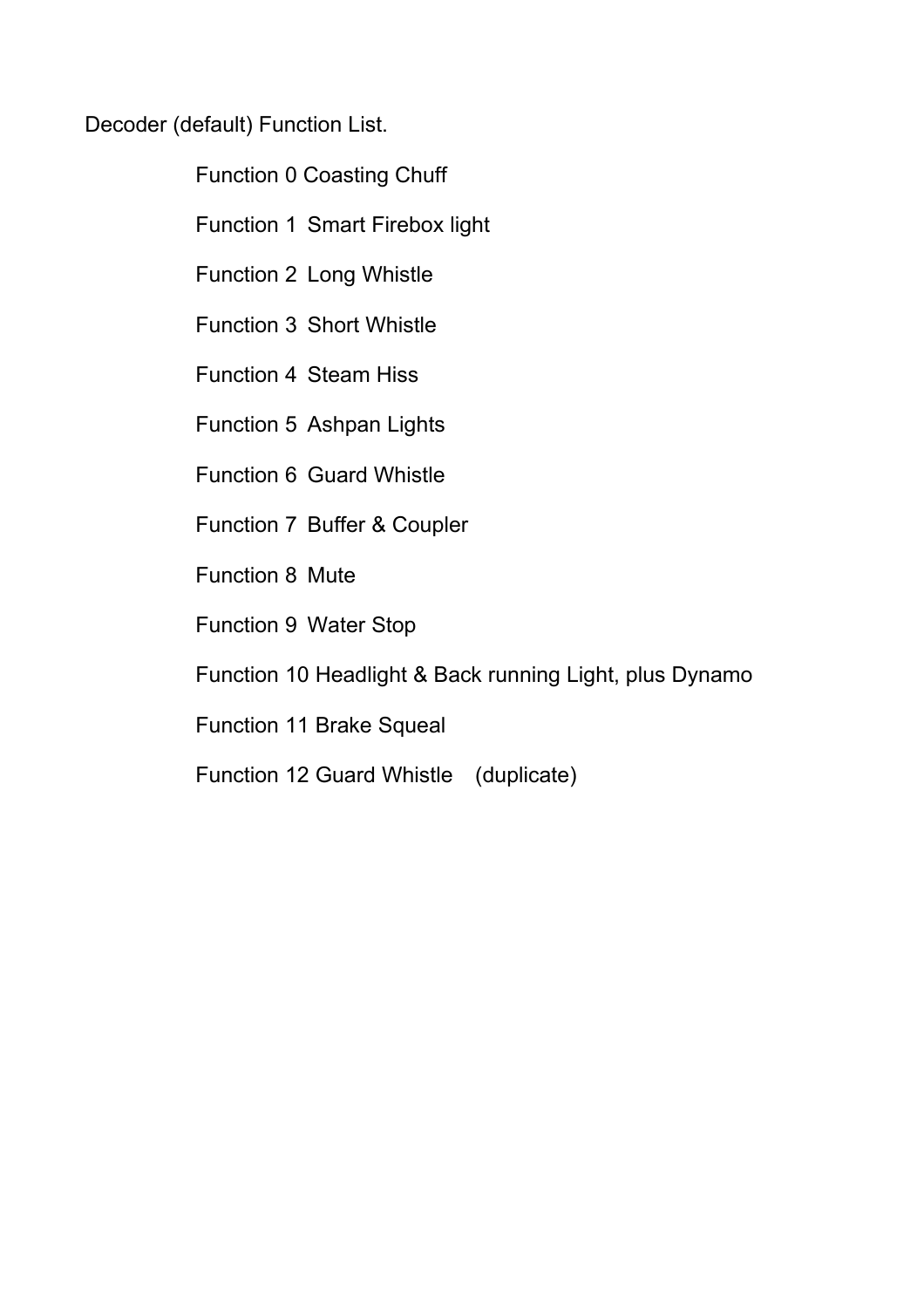Decoder (default) Function List.

Function 0 Coasting Chuff

Function 1 Smart Firebox light

Function 2 Long Whistle

Function 3 Short Whistle

Function 4 Steam Hiss

Function 5 Ashpan Lights

Function 6 Guard Whistle

Function 7 Buffer & Coupler

Function 8 Mute

Function 9 Water Stop

Function 10 Headlight & Back running Light, plus Dynamo

Function 11 Brake Squeal

Function 12 Guard Whistle (duplicate)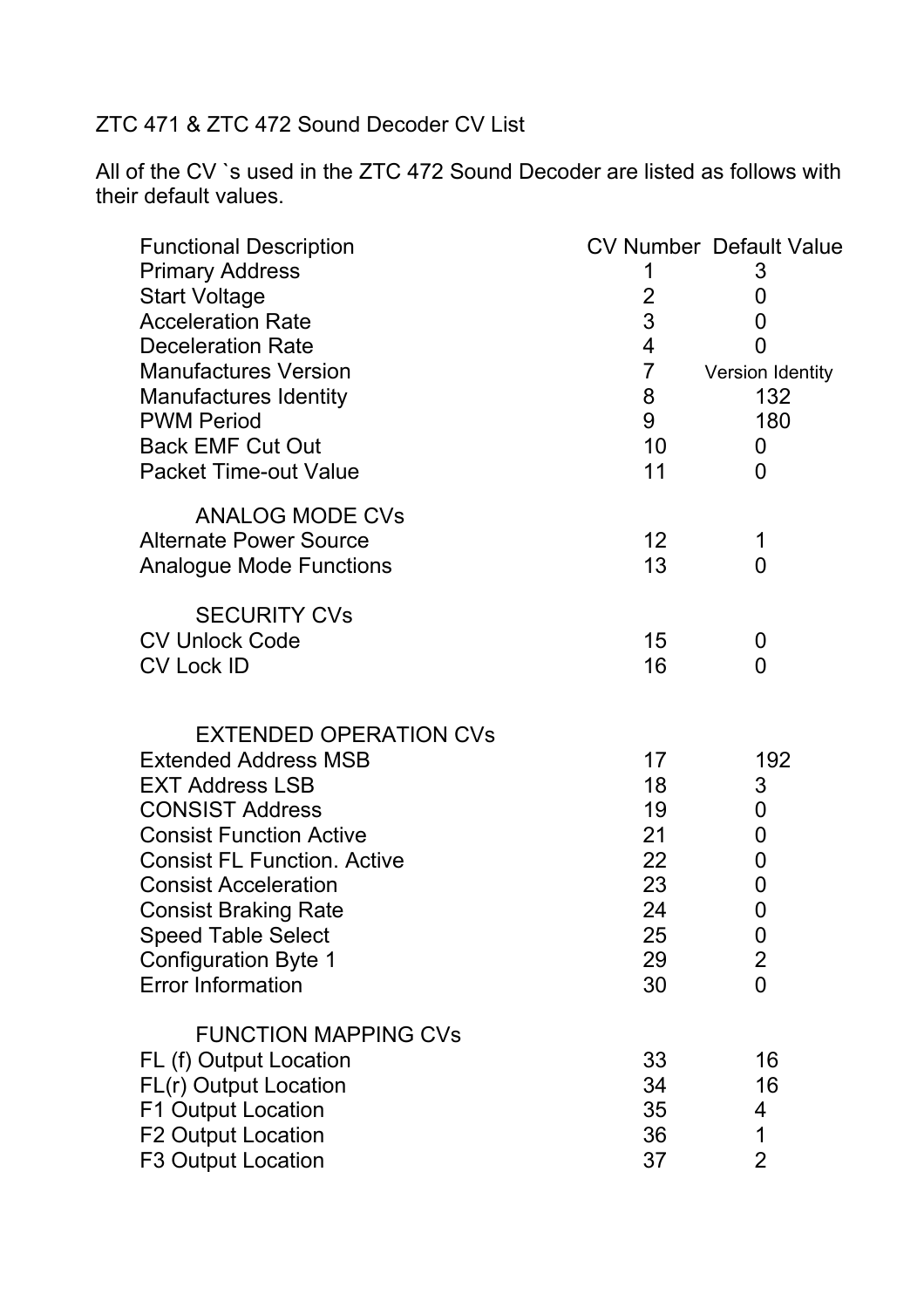### ZTC 471 & ZTC 472 Sound Decoder CV List

All of the CV `s used in the ZTC 472 Sound Decoder are listed as follows with their default values.

| <b>Functional Description</b>                                        |                | <b>CV Number Default Value</b> |
|----------------------------------------------------------------------|----------------|--------------------------------|
| <b>Primary Address</b>                                               | 1              | 3                              |
| <b>Start Voltage</b>                                                 | $\overline{2}$ | 0                              |
| <b>Acceleration Rate</b>                                             | 3              | 0                              |
| <b>Deceleration Rate</b>                                             | $\overline{4}$ | 0                              |
| <b>Manufactures Version</b>                                          | $\overline{7}$ | Version Identity               |
| <b>Manufactures Identity</b>                                         | 8              | 132                            |
| <b>PWM Period</b>                                                    | 9              | 180                            |
| <b>Back EMF Cut Out</b>                                              | 10             | 0                              |
| <b>Packet Time-out Value</b>                                         | 11             | 0                              |
| <b>ANALOG MODE CVs</b>                                               |                |                                |
| <b>Alternate Power Source</b>                                        | 12             | 1                              |
| <b>Analogue Mode Functions</b>                                       | 13             | $\overline{0}$                 |
| <b>SECURITY CVs</b>                                                  |                |                                |
| <b>CV Unlock Code</b>                                                | 15             | 0                              |
| <b>CV Lock ID</b>                                                    | 16             | 0                              |
|                                                                      |                |                                |
| <b>EXTENDED OPERATION CVs</b>                                        |                |                                |
| <b>Extended Address MSB</b>                                          | 17             | 192                            |
| <b>EXT Address LSB</b>                                               | 18             | 3                              |
| <b>CONSIST Address</b>                                               | 19<br>21       | 0                              |
| <b>Consist Function Active</b><br><b>Consist FL Function. Active</b> | 22             | $\mathbf 0$                    |
| <b>Consist Acceleration</b>                                          | 23             | 0<br>0                         |
| <b>Consist Braking Rate</b>                                          | 24             | 0                              |
| <b>Speed Table Select</b>                                            | 25             | 0                              |
| <b>Configuration Byte 1</b>                                          | 29             | $\overline{2}$                 |
| <b>Error Information</b>                                             | 30             | $\overline{0}$                 |
| <b>FUNCTION MAPPING CVs</b>                                          |                |                                |
| FL (f) Output Location                                               | 33             | 16                             |
| FL(r) Output Location                                                | 34             | 16                             |
| F1 Output Location                                                   | 35             | 4                              |
| <b>F2 Output Location</b>                                            | 36             | 1                              |
| <b>F3 Output Location</b>                                            | 37             | $\overline{2}$                 |
|                                                                      |                |                                |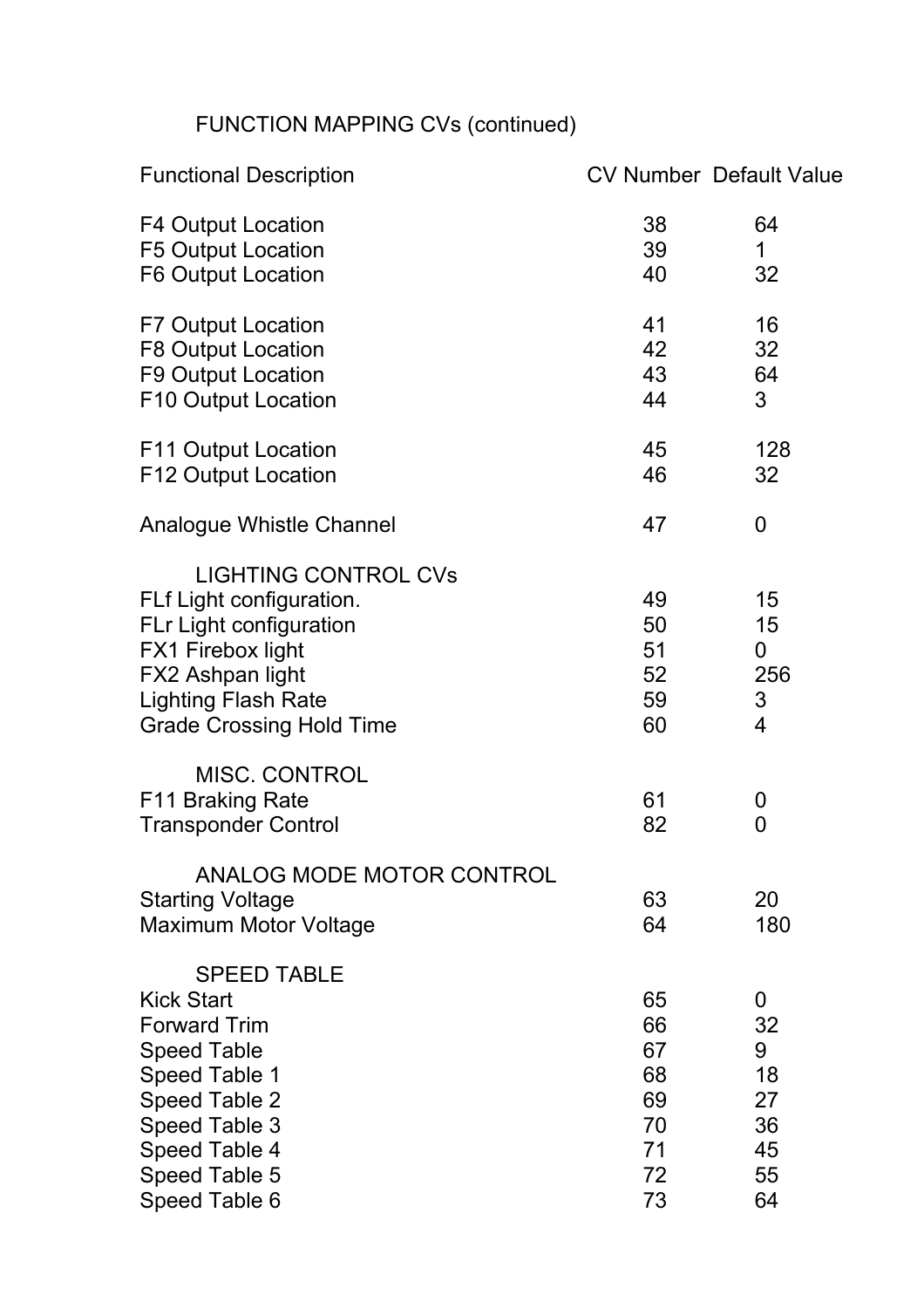# FUNCTION MAPPING CVs (continued)

| <b>Functional Description</b>                                                                                                                                                                     |                                                    | <b>CV Number Default Value</b>                   |
|---------------------------------------------------------------------------------------------------------------------------------------------------------------------------------------------------|----------------------------------------------------|--------------------------------------------------|
| <b>F4 Output Location</b><br>F5 Output Location<br><b>F6 Output Location</b>                                                                                                                      | 38<br>39<br>40                                     | 64<br>1<br>32                                    |
| <b>F7 Output Location</b><br><b>F8 Output Location</b><br><b>F9 Output Location</b>                                                                                                               | 41<br>42<br>43                                     | 16<br>32<br>64                                   |
| F10 Output Location                                                                                                                                                                               | 44                                                 | 3                                                |
| F11 Output Location<br><b>F12 Output Location</b>                                                                                                                                                 | 45<br>46                                           | 128<br>32                                        |
| Analogue Whistle Channel                                                                                                                                                                          | 47                                                 | $\overline{0}$                                   |
| <b>LIGHTING CONTROL CVs</b><br>FLf Light configuration.<br>FLr Light configuration<br>FX1 Firebox light<br>FX2 Ashpan light<br><b>Lighting Flash Rate</b><br><b>Grade Crossing Hold Time</b>      | 49<br>50<br>51<br>52<br>59<br>60                   | 15<br>15<br>$\overline{0}$<br>256<br>3<br>4      |
| <b>MISC. CONTROL</b><br>F11 Braking Rate<br><b>Transponder Control</b>                                                                                                                            | 61<br>82                                           | 0<br>$\mathbf 0$                                 |
| ANALOG MODE MOTOR CONTROL<br><b>Starting Voltage</b><br><b>Maximum Motor Voltage</b>                                                                                                              | 63<br>64                                           | 20<br>180                                        |
| <b>SPEED TABLE</b><br><b>Kick Start</b><br><b>Forward Trim</b><br><b>Speed Table</b><br>Speed Table 1<br><b>Speed Table 2</b><br>Speed Table 3<br>Speed Table 4<br>Speed Table 5<br>Speed Table 6 | 65<br>66<br>67<br>68<br>69<br>70<br>71<br>72<br>73 | 0<br>32<br>9<br>18<br>27<br>36<br>45<br>55<br>64 |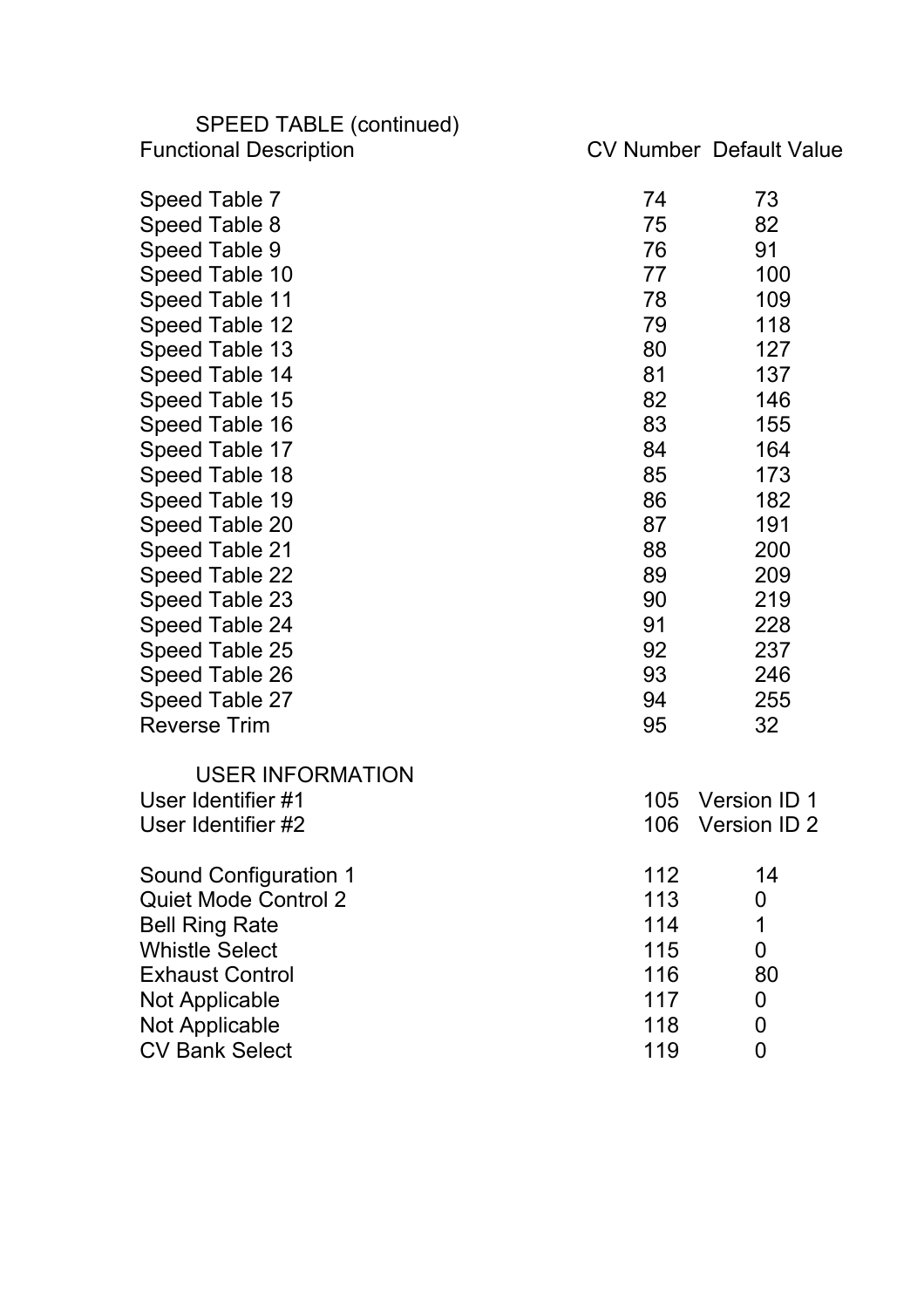| SPEED TABLE (continued)       |     |                                |
|-------------------------------|-----|--------------------------------|
| <b>Functional Description</b> |     | <b>CV Number Default Value</b> |
| Speed Table 7                 | 74  | 73                             |
| Speed Table 8                 | 75  | 82                             |
| Speed Table 9                 | 76  | 91                             |
| Speed Table 10                | 77  | 100                            |
| Speed Table 11                | 78  | 109                            |
| Speed Table 12                | 79  | 118                            |
| Speed Table 13                | 80  | 127                            |
| Speed Table 14                | 81  | 137                            |
| Speed Table 15                | 82  | 146                            |
| Speed Table 16                | 83  | 155                            |
| Speed Table 17                | 84  | 164                            |
| Speed Table 18                | 85  | 173                            |
| Speed Table 19                | 86  | 182                            |
| Speed Table 20                | 87  | 191                            |
| Speed Table 21                | 88  | 200                            |
| Speed Table 22                | 89  | 209                            |
| Speed Table 23                | 90  | 219                            |
| Speed Table 24                | 91  | 228                            |
| Speed Table 25                | 92  | 237                            |
| Speed Table 26                | 93  | 246                            |
| Speed Table 27                | 94  | 255                            |
| <b>Reverse Trim</b>           | 95  | 32                             |
| <b>USER INFORMATION</b>       |     |                                |
| User Identifier #1            | 105 | Version ID 1                   |
| User Identifier #2            | 106 | Version ID 2                   |
| Sound Configuration 1         | 112 | 14                             |
| <b>Quiet Mode Control 2</b>   | 113 | $\boldsymbol{0}$               |
| <b>Bell Ring Rate</b>         | 114 | 1                              |
| <b>Whistle Select</b>         | 115 | 0                              |
| <b>Exhaust Control</b>        | 116 | 80                             |
| <b>Not Applicable</b>         | 117 | 0                              |
| <b>Not Applicable</b>         | 118 | 0                              |
| <b>CV Bank Select</b>         | 119 | 0                              |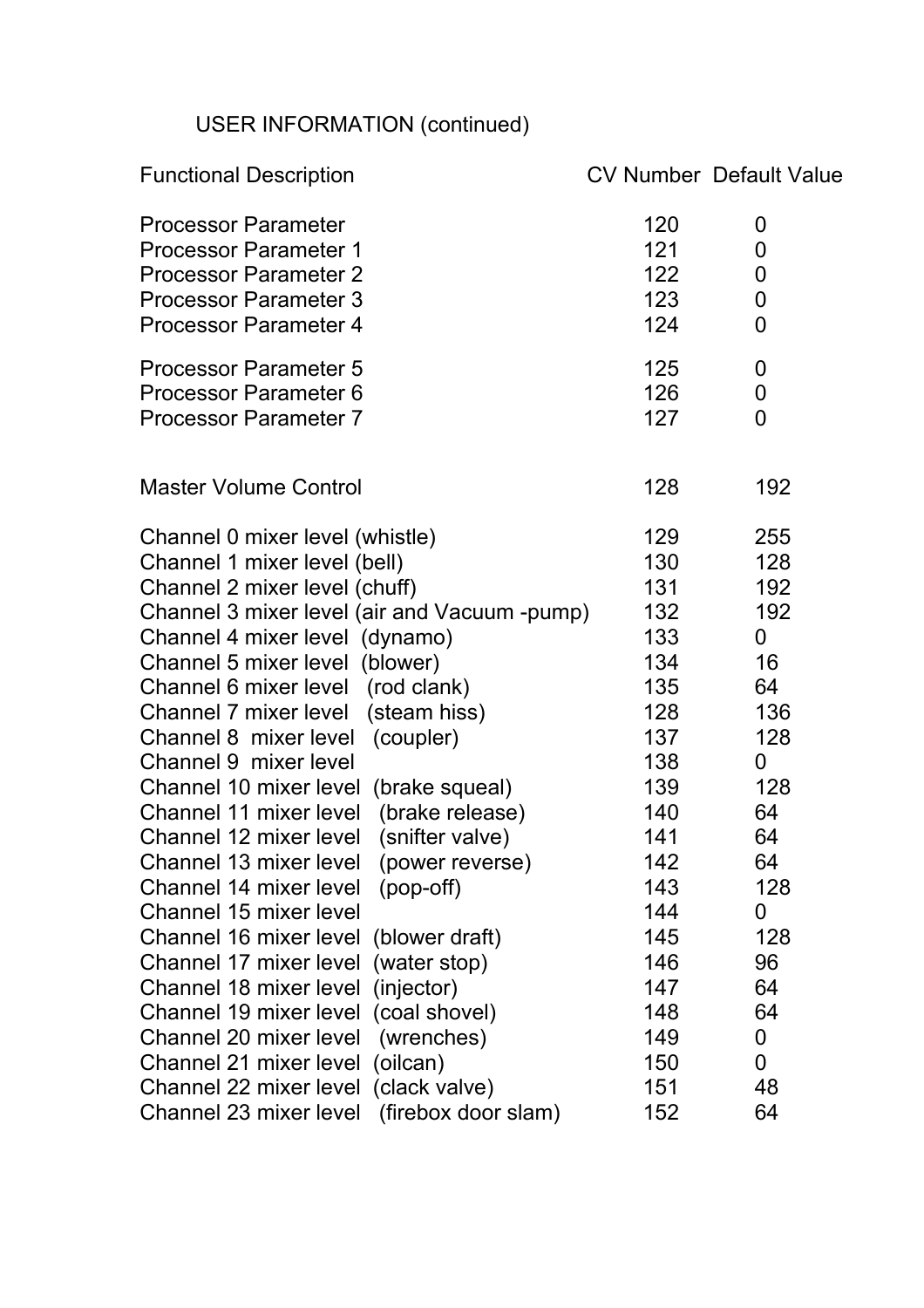# USER INFORMATION (continued)

| <b>Functional Description</b>                                                                                                                              |                                 | <b>CV Number Default Value</b>       |
|------------------------------------------------------------------------------------------------------------------------------------------------------------|---------------------------------|--------------------------------------|
| <b>Processor Parameter</b><br><b>Processor Parameter 1</b><br><b>Processor Parameter 2</b><br><b>Processor Parameter 3</b><br><b>Processor Parameter 4</b> | 120<br>121<br>122<br>123<br>124 | 0<br>0<br>0<br>$\boldsymbol{0}$<br>0 |
| <b>Processor Parameter 5</b><br><b>Processor Parameter 6</b><br><b>Processor Parameter 7</b>                                                               | 125<br>126<br>127               | 0<br>0<br>0                          |
| <b>Master Volume Control</b>                                                                                                                               | 128                             | 192                                  |
| Channel 0 mixer level (whistle)<br>Channel 1 mixer level (bell)<br>Channel 2 mixer level (chuff)                                                           | 129<br>130<br>131               | 255<br>128<br>192                    |
| Channel 3 mixer level (air and Vacuum -pump)<br>Channel 4 mixer level (dynamo)<br>Channel 5 mixer level (blower)                                           | 132<br>133<br>134               | 192<br>0<br>16                       |
| Channel 6 mixer level (rod clank)<br>Channel 7 mixer level (steam hiss)                                                                                    | 135<br>128                      | 64<br>136                            |
| Channel 8 mixer level<br>(coupler)<br>Channel 9 mixer level<br>Channel 10 mixer level (brake squeal)                                                       | 137<br>138<br>139               | 128<br>0<br>128                      |
| Channel 11 mixer level<br>(brake release)<br>(snifter valve)<br>Channel 12 mixer level                                                                     | 140<br>141                      | 64<br>64                             |
| Channel 13 mixer level<br>(power reverse)<br>Channel 14 mixer level<br>$(pop-off)$<br>Channel 15 mixer level                                               | 142<br>143                      | 64<br>128                            |
| Channel 16 mixer level<br>(blower draft)<br>(water stop)<br>Channel 17 mixer level                                                                         | 144<br>145<br>146               | 0<br>128<br>96                       |
| Channel 18 mixer level<br>(injector)<br>(coal shovel)<br>Channel 19 mixer level                                                                            | 147<br>148                      | 64<br>64                             |
| Channel 20 mixer level<br>(wrenches)<br>(oilcan)<br>Channel 21 mixer level                                                                                 | 149<br>150                      | 0<br>0                               |
| (clack valve)<br>Channel 22 mixer level<br>Channel 23 mixer level<br>(firebox door slam)                                                                   | 151<br>152                      | 48<br>64                             |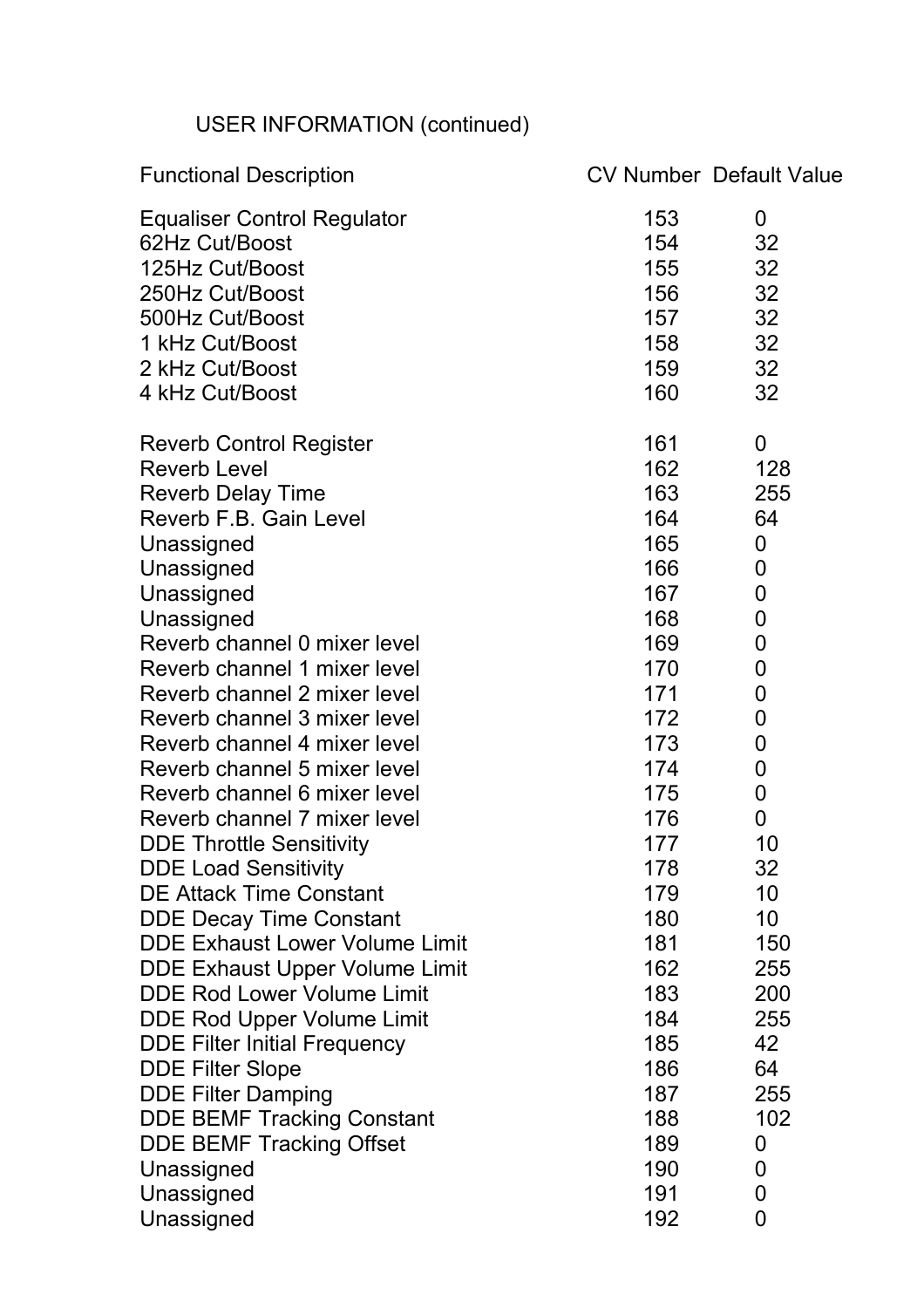# USER INFORMATION (continued)

| <b>Functional Description</b>         |     | <b>CV Number Default Value</b> |
|---------------------------------------|-----|--------------------------------|
| <b>Equaliser Control Regulator</b>    | 153 | 0                              |
| 62Hz Cut/Boost                        | 154 | 32                             |
| 125Hz Cut/Boost                       | 155 | 32                             |
| 250Hz Cut/Boost                       | 156 | 32                             |
| 500Hz Cut/Boost                       | 157 | 32                             |
| 1 kHz Cut/Boost                       | 158 | 32                             |
| 2 kHz Cut/Boost                       | 159 | 32                             |
| 4 kHz Cut/Boost                       | 160 | 32                             |
| <b>Reverb Control Register</b>        | 161 | 0                              |
| <b>Reverb Level</b>                   | 162 | 128                            |
| <b>Reverb Delay Time</b>              | 163 | 255                            |
| Reverb F.B. Gain Level                | 164 | 64                             |
| Unassigned                            | 165 | 0                              |
| Unassigned                            | 166 | 0                              |
| Unassigned                            | 167 | 0                              |
| Unassigned                            | 168 | $\mathbf 0$                    |
| Reverb channel 0 mixer level          | 169 | $\mathbf 0$                    |
| Reverb channel 1 mixer level          | 170 | 0                              |
| Reverb channel 2 mixer level          | 171 | $\mathbf 0$                    |
| Reverb channel 3 mixer level          | 172 | $\mathbf 0$                    |
| Reverb channel 4 mixer level          | 173 | 0                              |
| Reverb channel 5 mixer level          | 174 | $\mathbf 0$                    |
| Reverb channel 6 mixer level          | 175 | $\mathbf 0$                    |
| Reverb channel 7 mixer level          | 176 | 0                              |
| <b>DDE Throttle Sensitivity</b>       | 177 | 10                             |
| <b>DDE Load Sensitivity</b>           | 178 | 32                             |
| <b>DE Attack Time Constant</b>        | 179 | 10                             |
| <b>DDE Decay Time Constant</b>        | 180 | 10                             |
| <b>DDE Exhaust Lower Volume Limit</b> | 181 | 150                            |
| <b>DDE Exhaust Upper Volume Limit</b> | 162 | 255                            |
| <b>DDE Rod Lower Volume Limit</b>     | 183 | 200                            |
| <b>DDE Rod Upper Volume Limit</b>     | 184 | 255                            |
| <b>DDE Filter Initial Frequency</b>   | 185 | 42                             |
| <b>DDE Filter Slope</b>               | 186 | 64                             |
| <b>DDE Filter Damping</b>             | 187 | 255                            |
| <b>DDE BEMF Tracking Constant</b>     | 188 | 102                            |
| <b>DDE BEMF Tracking Offset</b>       | 189 | $\boldsymbol{0}$               |
| Unassigned                            | 190 | 0                              |
| Unassigned                            | 191 | $\mathbf 0$                    |
| Unassigned                            | 192 | 0                              |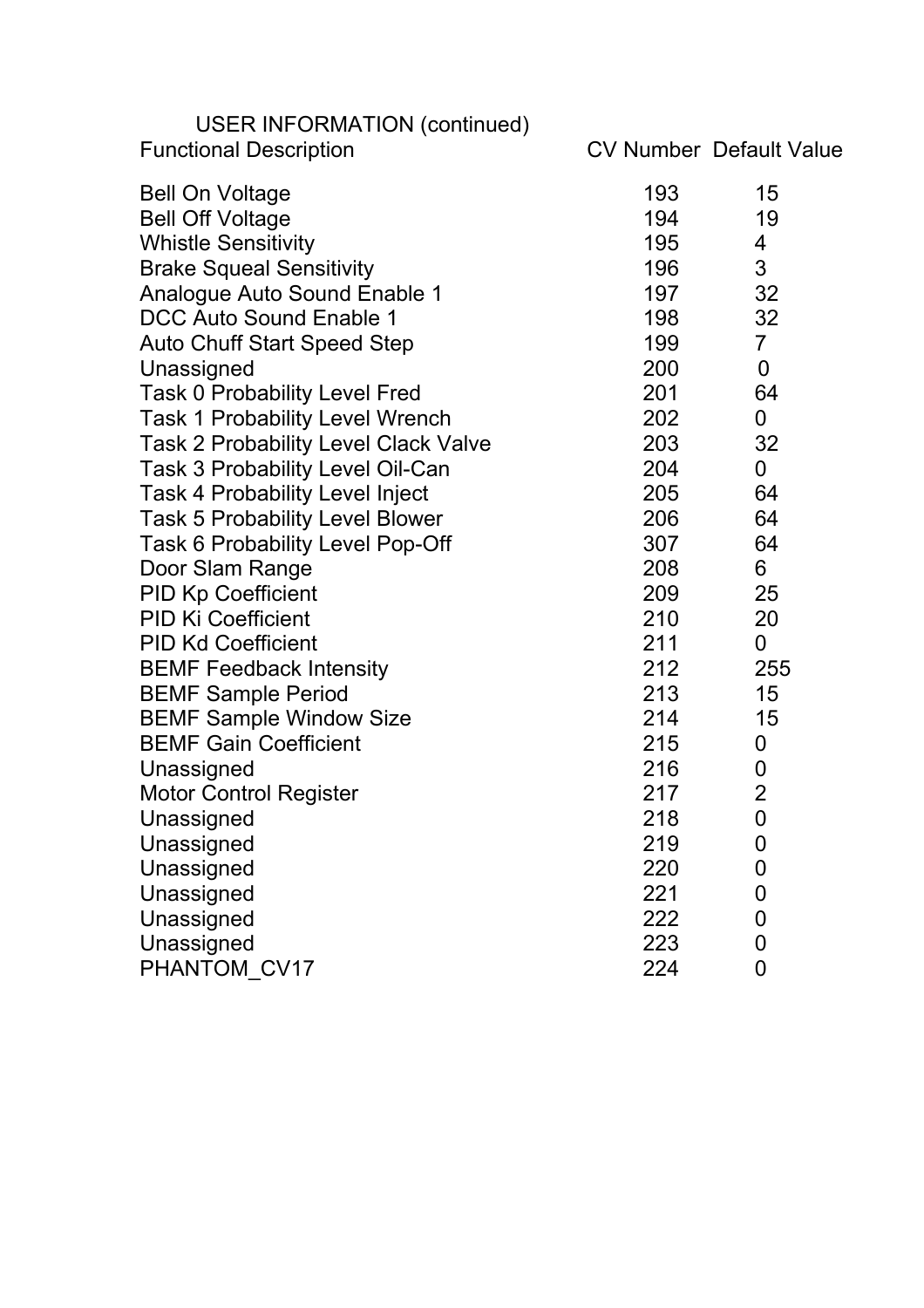| <b>USER INFORMATION (continued)</b><br><b>Functional Description</b> |     | <b>CV Number Default Value</b> |
|----------------------------------------------------------------------|-----|--------------------------------|
| <b>Bell On Voltage</b>                                               | 193 | 15                             |
| <b>Bell Off Voltage</b>                                              | 194 | 19                             |
| <b>Whistle Sensitivity</b>                                           | 195 | 4                              |
| <b>Brake Squeal Sensitivity</b>                                      | 196 | 3                              |
| Analogue Auto Sound Enable 1                                         | 197 | 32                             |
| DCC Auto Sound Enable 1                                              | 198 | 32                             |
| <b>Auto Chuff Start Speed Step</b>                                   | 199 | $\overline{7}$                 |
| Unassigned                                                           | 200 | $\mathbf 0$                    |
| <b>Task 0 Probability Level Fred</b>                                 | 201 | 64                             |
| <b>Task 1 Probability Level Wrench</b>                               | 202 | $\mathbf 0$                    |
| <b>Task 2 Probability Level Clack Valve</b>                          | 203 | 32                             |
| Task 3 Probability Level Oil-Can                                     | 204 | $\mathbf 0$                    |
| <b>Task 4 Probability Level Inject</b>                               | 205 | 64                             |
| Task 5 Probability Level Blower                                      | 206 | 64                             |
| Task 6 Probability Level Pop-Off                                     | 307 | 64                             |
| Door Slam Range                                                      | 208 | 6                              |
| <b>PID Kp Coefficient</b>                                            | 209 | 25                             |
| <b>PID Ki Coefficient</b>                                            | 210 | 20                             |
| <b>PID Kd Coefficient</b>                                            | 211 | 0                              |
| <b>BEMF Feedback Intensity</b>                                       | 212 | 255                            |
| <b>BEMF Sample Period</b>                                            | 213 | 15                             |
| <b>BEMF Sample Window Size</b>                                       | 214 | 15                             |
| <b>BEMF Gain Coefficient</b>                                         | 215 | $\boldsymbol{0}$               |
| Unassigned                                                           | 216 | $\mathbf 0$                    |
| <b>Motor Control Register</b>                                        | 217 | $\overline{2}$                 |
| Unassigned                                                           | 218 | 0                              |
| Unassigned                                                           | 219 | $\mathbf 0$                    |
| Unassigned                                                           | 220 | $\overline{0}$                 |
| Unassigned                                                           | 221 | $\mathbf 0$                    |
| Unassigned                                                           | 222 | $\mathbf 0$                    |
| Unassigned                                                           | 223 | $\mathbf 0$                    |
| PHANTOM_CV17                                                         | 224 | $\overline{0}$                 |